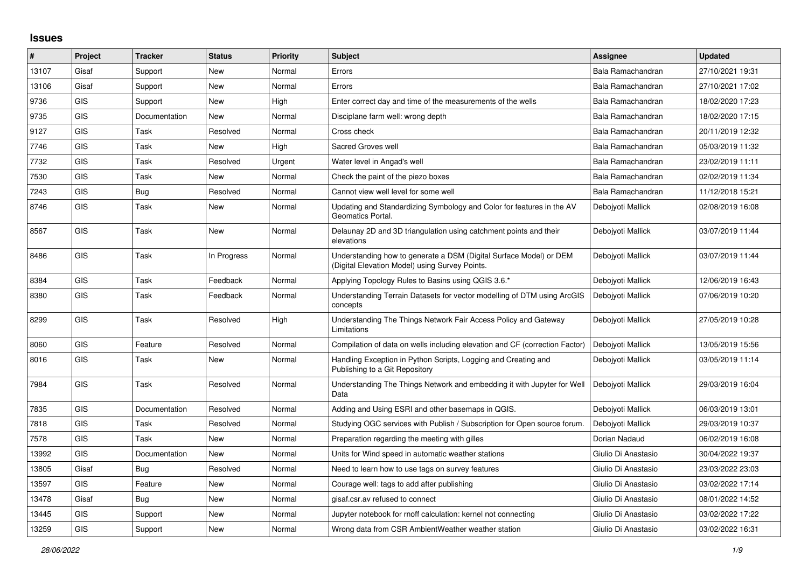## **Issues**

| $\vert$ # | Project    | <b>Tracker</b> | <b>Status</b> | Priority | <b>Subject</b>                                                                                                       | <b>Assignee</b>     | <b>Updated</b>   |
|-----------|------------|----------------|---------------|----------|----------------------------------------------------------------------------------------------------------------------|---------------------|------------------|
| 13107     | Gisaf      | Support        | <b>New</b>    | Normal   | Errors                                                                                                               | Bala Ramachandran   | 27/10/2021 19:31 |
| 13106     | Gisaf      | Support        | <b>New</b>    | Normal   | Errors                                                                                                               | Bala Ramachandran   | 27/10/2021 17:02 |
| 9736      | <b>GIS</b> | Support        | New           | High     | Enter correct day and time of the measurements of the wells                                                          | Bala Ramachandran   | 18/02/2020 17:23 |
| 9735      | <b>GIS</b> | Documentation  | <b>New</b>    | Normal   | Disciplane farm well: wrong depth                                                                                    | Bala Ramachandran   | 18/02/2020 17:15 |
| 9127      | <b>GIS</b> | Task           | Resolved      | Normal   | Cross check                                                                                                          | Bala Ramachandran   | 20/11/2019 12:32 |
| 7746      | <b>GIS</b> | Task           | New           | High     | Sacred Groves well                                                                                                   | Bala Ramachandran   | 05/03/2019 11:32 |
| 7732      | <b>GIS</b> | Task           | Resolved      | Urgent   | Water level in Angad's well                                                                                          | Bala Ramachandran   | 23/02/2019 11:11 |
| 7530      | <b>GIS</b> | Task           | New           | Normal   | Check the paint of the piezo boxes                                                                                   | Bala Ramachandran   | 02/02/2019 11:34 |
| 7243      | <b>GIS</b> | Bug            | Resolved      | Normal   | Cannot view well level for some well                                                                                 | Bala Ramachandran   | 11/12/2018 15:21 |
| 8746      | <b>GIS</b> | Task           | <b>New</b>    | Normal   | Updating and Standardizing Symbology and Color for features in the AV<br>Geomatics Portal.                           | Debojyoti Mallick   | 02/08/2019 16:08 |
| 8567      | <b>GIS</b> | Task           | New           | Normal   | Delaunay 2D and 3D triangulation using catchment points and their<br>elevations                                      | Debojyoti Mallick   | 03/07/2019 11:44 |
| 8486      | <b>GIS</b> | Task           | In Progress   | Normal   | Understanding how to generate a DSM (Digital Surface Model) or DEM<br>(Digital Elevation Model) using Survey Points. | Deboivoti Mallick   | 03/07/2019 11:44 |
| 8384      | <b>GIS</b> | Task           | Feedback      | Normal   | Applying Topology Rules to Basins using QGIS 3.6.*                                                                   | Debojyoti Mallick   | 12/06/2019 16:43 |
| 8380      | <b>GIS</b> | Task           | Feedback      | Normal   | Understanding Terrain Datasets for vector modelling of DTM using ArcGIS<br>concepts                                  | Debojyoti Mallick   | 07/06/2019 10:20 |
| 8299      | <b>GIS</b> | Task           | Resolved      | High     | Understanding The Things Network Fair Access Policy and Gateway<br>Limitations                                       | Debojyoti Mallick   | 27/05/2019 10:28 |
| 8060      | <b>GIS</b> | Feature        | Resolved      | Normal   | Compilation of data on wells including elevation and CF (correction Factor)                                          | Debojyoti Mallick   | 13/05/2019 15:56 |
| 8016      | <b>GIS</b> | Task           | <b>New</b>    | Normal   | Handling Exception in Python Scripts, Logging and Creating and<br>Publishing to a Git Repository                     | Deboivoti Mallick   | 03/05/2019 11:14 |
| 7984      | <b>GIS</b> | Task           | Resolved      | Normal   | Understanding The Things Network and embedding it with Jupyter for Well<br>Data                                      | Debojyoti Mallick   | 29/03/2019 16:04 |
| 7835      | <b>GIS</b> | Documentation  | Resolved      | Normal   | Adding and Using ESRI and other basemaps in QGIS.                                                                    | Deboivoti Mallick   | 06/03/2019 13:01 |
| 7818      | <b>GIS</b> | Task           | Resolved      | Normal   | Studying OGC services with Publish / Subscription for Open source forum.                                             | Debojyoti Mallick   | 29/03/2019 10:37 |
| 7578      | <b>GIS</b> | Task           | <b>New</b>    | Normal   | Preparation regarding the meeting with gilles                                                                        | Dorian Nadaud       | 06/02/2019 16:08 |
| 13992     | <b>GIS</b> | Documentation  | <b>New</b>    | Normal   | Units for Wind speed in automatic weather stations                                                                   | Giulio Di Anastasio | 30/04/2022 19:37 |
| 13805     | Gisaf      | Bug            | Resolved      | Normal   | Need to learn how to use tags on survey features                                                                     | Giulio Di Anastasio | 23/03/2022 23:03 |
| 13597     | <b>GIS</b> | Feature        | <b>New</b>    | Normal   | Courage well: tags to add after publishing                                                                           | Giulio Di Anastasio | 03/02/2022 17:14 |
| 13478     | Gisaf      | Bua            | <b>New</b>    | Normal   | gisaf.csr.av refused to connect                                                                                      | Giulio Di Anastasio | 08/01/2022 14:52 |
| 13445     | <b>GIS</b> | Support        | <b>New</b>    | Normal   | Jupyter notebook for rnoff calculation: kernel not connecting                                                        | Giulio Di Anastasio | 03/02/2022 17:22 |
| 13259     | <b>GIS</b> | Support        | <b>New</b>    | Normal   | Wrong data from CSR Ambient Weather weather station                                                                  | Giulio Di Anastasio | 03/02/2022 16:31 |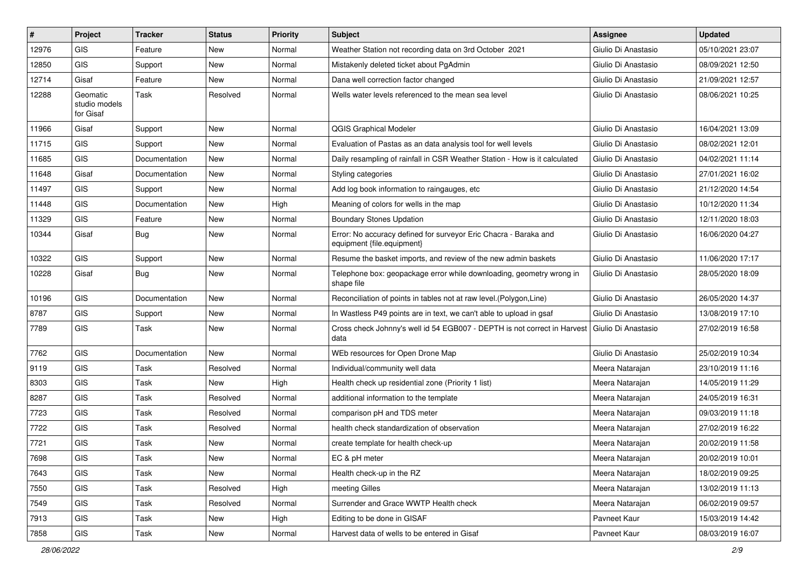| #     | Project                                | <b>Tracker</b> | <b>Status</b> | <b>Priority</b> | Subject                                                                                        | Assignee              | <b>Updated</b>   |
|-------|----------------------------------------|----------------|---------------|-----------------|------------------------------------------------------------------------------------------------|-----------------------|------------------|
| 12976 | <b>GIS</b>                             | Feature        | New           | Normal          | Weather Station not recording data on 3rd October 2021                                         | Giulio Di Anastasio   | 05/10/2021 23:07 |
| 12850 | <b>GIS</b>                             | Support        | New           | Normal          | Mistakenly deleted ticket about PgAdmin                                                        | Giulio Di Anastasio   | 08/09/2021 12:50 |
| 12714 | Gisaf                                  | Feature        | New           | Normal          | Dana well correction factor changed                                                            | Giulio Di Anastasio   | 21/09/2021 12:57 |
| 12288 | Geomatic<br>studio models<br>for Gisaf | Task           | Resolved      | Normal          | Wells water levels referenced to the mean sea level                                            | Giulio Di Anastasio   | 08/06/2021 10:25 |
| 11966 | Gisaf                                  | Support        | New           | Normal          | <b>QGIS Graphical Modeler</b>                                                                  | Giulio Di Anastasio   | 16/04/2021 13:09 |
| 11715 | <b>GIS</b>                             | Support        | New           | Normal          | Evaluation of Pastas as an data analysis tool for well levels                                  | Giulio Di Anastasio   | 08/02/2021 12:01 |
| 11685 | <b>GIS</b>                             | Documentation  | <b>New</b>    | Normal          | Daily resampling of rainfall in CSR Weather Station - How is it calculated                     | Giulio Di Anastasio   | 04/02/2021 11:14 |
| 11648 | Gisaf                                  | Documentation  | New           | Normal          | Styling categories                                                                             | Giulio Di Anastasio   | 27/01/2021 16:02 |
| 11497 | <b>GIS</b>                             | Support        | New           | Normal          | Add log book information to raingauges, etc                                                    | Giulio Di Anastasio   | 21/12/2020 14:54 |
| 11448 | <b>GIS</b>                             | Documentation  | <b>New</b>    | High            | Meaning of colors for wells in the map                                                         | Giulio Di Anastasio   | 10/12/2020 11:34 |
| 11329 | <b>GIS</b>                             | Feature        | New           | Normal          | <b>Boundary Stones Updation</b>                                                                | Giulio Di Anastasio   | 12/11/2020 18:03 |
| 10344 | Gisaf                                  | Bug            | New           | Normal          | Error: No accuracy defined for surveyor Eric Chacra - Baraka and<br>equipment {file.equipment} | Giulio Di Anastasio   | 16/06/2020 04:27 |
| 10322 | <b>GIS</b>                             | Support        | New           | Normal          | Resume the basket imports, and review of the new admin baskets                                 | Giulio Di Anastasio   | 11/06/2020 17:17 |
| 10228 | Gisaf                                  | Bug            | New           | Normal          | Telephone box: geopackage error while downloading, geometry wrong in<br>shape file             | Giulio Di Anastasio   | 28/05/2020 18:09 |
| 10196 | <b>GIS</b>                             | Documentation  | New           | Normal          | Reconciliation of points in tables not at raw level. (Polygon, Line)                           | Giulio Di Anastasio   | 26/05/2020 14:37 |
| 8787  | GIS                                    | Support        | New           | Normal          | In Wastless P49 points are in text, we can't able to upload in gsaf                            | Giulio Di Anastasio   | 13/08/2019 17:10 |
| 7789  | GIS                                    | Task           | New           | Normal          | Cross check Johnny's well id 54 EGB007 - DEPTH is not correct in Harvest<br>data               | l Giulio Di Anastasio | 27/02/2019 16:58 |
| 7762  | <b>GIS</b>                             | Documentation  | <b>New</b>    | Normal          | WEb resources for Open Drone Map                                                               | Giulio Di Anastasio   | 25/02/2019 10:34 |
| 9119  | <b>GIS</b>                             | Task           | Resolved      | Normal          | Individual/community well data                                                                 | Meera Natarajan       | 23/10/2019 11:16 |
| 8303  | GIS                                    | Task           | <b>New</b>    | High            | Health check up residential zone (Priority 1 list)                                             | Meera Natarajan       | 14/05/2019 11:29 |
| 8287  | <b>GIS</b>                             | Task           | Resolved      | Normal          | additional information to the template                                                         | Meera Natarajan       | 24/05/2019 16:31 |
| 7723  | <b>GIS</b>                             | Task           | Resolved      | Normal          | comparison pH and TDS meter                                                                    | Meera Natarajan       | 09/03/2019 11:18 |
| 7722  | GIS                                    | Task           | Resolved      | Normal          | health check standardization of observation                                                    | Meera Natarajan       | 27/02/2019 16:22 |
| 7721  | <b>GIS</b>                             | Task           | New           | Normal          | create template for health check-up                                                            | Meera Natarajan       | 20/02/2019 11:58 |
| 7698  | GIS                                    | Task           | New           | Normal          | EC & pH meter                                                                                  | Meera Natarajan       | 20/02/2019 10:01 |
| 7643  | GIS                                    | Task           | New           | Normal          | Health check-up in the RZ                                                                      | Meera Natarajan       | 18/02/2019 09:25 |
| 7550  | GIS                                    | Task           | Resolved      | High            | meeting Gilles                                                                                 | Meera Natarajan       | 13/02/2019 11:13 |
| 7549  | GIS                                    | Task           | Resolved      | Normal          | Surrender and Grace WWTP Health check                                                          | Meera Natarajan       | 06/02/2019 09:57 |
| 7913  | GIS                                    | Task           | New           | High            | Editing to be done in GISAF                                                                    | Pavneet Kaur          | 15/03/2019 14:42 |
| 7858  | GIS                                    | Task           | New           | Normal          | Harvest data of wells to be entered in Gisaf                                                   | Pavneet Kaur          | 08/03/2019 16:07 |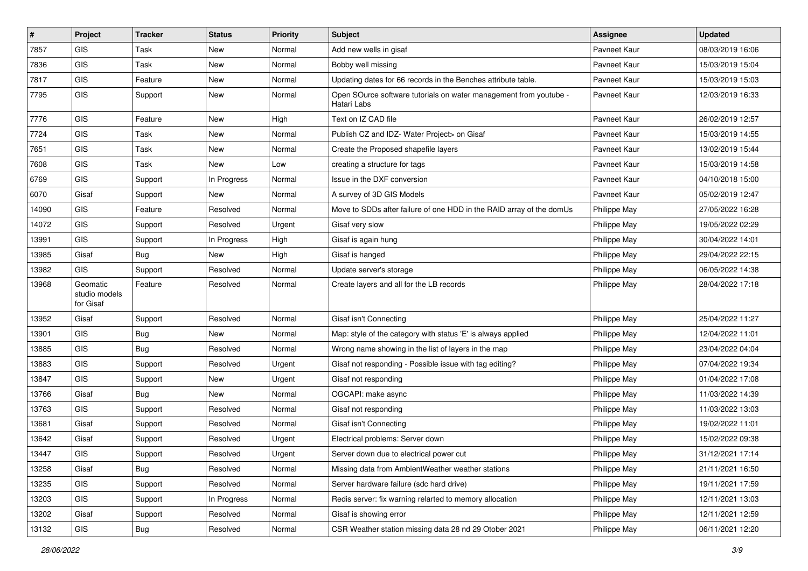| #     | Project                                | <b>Tracker</b> | <b>Status</b> | <b>Priority</b> | Subject                                                                          | <b>Assignee</b> | <b>Updated</b>   |
|-------|----------------------------------------|----------------|---------------|-----------------|----------------------------------------------------------------------------------|-----------------|------------------|
| 7857  | GIS                                    | Task           | <b>New</b>    | Normal          | Add new wells in gisaf                                                           | Pavneet Kaur    | 08/03/2019 16:06 |
| 7836  | GIS                                    | Task           | <b>New</b>    | Normal          | Bobby well missing                                                               | Pavneet Kaur    | 15/03/2019 15:04 |
| 7817  | GIS                                    | Feature        | <b>New</b>    | Normal          | Updating dates for 66 records in the Benches attribute table.                    | Pavneet Kaur    | 15/03/2019 15:03 |
| 7795  | GIS                                    | Support        | New           | Normal          | Open SOurce software tutorials on water management from youtube -<br>Hatari Labs | Pavneet Kaur    | 12/03/2019 16:33 |
| 7776  | GIS                                    | Feature        | <b>New</b>    | High            | Text on IZ CAD file                                                              | Pavneet Kaur    | 26/02/2019 12:57 |
| 7724  | GIS                                    | Task           | <b>New</b>    | Normal          | Publish CZ and IDZ- Water Project> on Gisaf                                      | Pavneet Kaur    | 15/03/2019 14:55 |
| 7651  | GIS                                    | Task           | <b>New</b>    | Normal          | Create the Proposed shapefile layers                                             | Pavneet Kaur    | 13/02/2019 15:44 |
| 7608  | GIS                                    | Task           | <b>New</b>    | Low             | creating a structure for tags                                                    | Pavneet Kaur    | 15/03/2019 14:58 |
| 6769  | GIS                                    | Support        | In Progress   | Normal          | Issue in the DXF conversion                                                      | Pavneet Kaur    | 04/10/2018 15:00 |
| 6070  | Gisaf                                  | Support        | <b>New</b>    | Normal          | A survey of 3D GIS Models                                                        | Pavneet Kaur    | 05/02/2019 12:47 |
| 14090 | GIS                                    | Feature        | Resolved      | Normal          | Move to SDDs after failure of one HDD in the RAID array of the domUs             | Philippe May    | 27/05/2022 16:28 |
| 14072 | GIS                                    | Support        | Resolved      | Urgent          | Gisaf very slow                                                                  | Philippe May    | 19/05/2022 02:29 |
| 13991 | <b>GIS</b>                             | Support        | In Progress   | High            | Gisaf is again hung                                                              | Philippe May    | 30/04/2022 14:01 |
| 13985 | Gisaf                                  | Bug            | <b>New</b>    | High            | Gisaf is hanged                                                                  | Philippe May    | 29/04/2022 22:15 |
| 13982 | GIS                                    | Support        | Resolved      | Normal          | Update server's storage                                                          | Philippe May    | 06/05/2022 14:38 |
| 13968 | Geomatic<br>studio models<br>for Gisaf | Feature        | Resolved      | Normal          | Create layers and all for the LB records                                         | Philippe May    | 28/04/2022 17:18 |
| 13952 | Gisaf                                  | Support        | Resolved      | Normal          | Gisaf isn't Connecting                                                           | Philippe May    | 25/04/2022 11:27 |
| 13901 | GIS                                    | Bug            | <b>New</b>    | Normal          | Map: style of the category with status 'E' is always applied                     | Philippe May    | 12/04/2022 11:01 |
| 13885 | GIS                                    | Bug            | Resolved      | Normal          | Wrong name showing in the list of layers in the map                              | Philippe May    | 23/04/2022 04:04 |
| 13883 | GIS                                    | Support        | Resolved      | Urgent          | Gisaf not responding - Possible issue with tag editing?                          | Philippe May    | 07/04/2022 19:34 |
| 13847 | <b>GIS</b>                             | Support        | <b>New</b>    | Urgent          | Gisaf not responding                                                             | Philippe May    | 01/04/2022 17:08 |
| 13766 | Gisaf                                  | Bug            | New           | Normal          | OGCAPI: make async                                                               | Philippe May    | 11/03/2022 14:39 |
| 13763 | GIS                                    | Support        | Resolved      | Normal          | Gisaf not responding                                                             | Philippe May    | 11/03/2022 13:03 |
| 13681 | Gisaf                                  | Support        | Resolved      | Normal          | Gisaf isn't Connecting                                                           | Philippe May    | 19/02/2022 11:01 |
| 13642 | Gisaf                                  | Support        | Resolved      | Urgent          | Electrical problems: Server down                                                 | Philippe May    | 15/02/2022 09:38 |
| 13447 | GIS                                    | Support        | Resolved      | Urgent          | Server down due to electrical power cut                                          | Philippe May    | 31/12/2021 17:14 |
| 13258 | Gisaf                                  | Bug            | Resolved      | Normal          | Missing data from AmbientWeather weather stations                                | Philippe May    | 21/11/2021 16:50 |
| 13235 | GIS                                    | Support        | Resolved      | Normal          | Server hardware failure (sdc hard drive)                                         | Philippe May    | 19/11/2021 17:59 |
| 13203 | GIS                                    | Support        | In Progress   | Normal          | Redis server: fix warning relarted to memory allocation                          | Philippe May    | 12/11/2021 13:03 |
| 13202 | Gisaf                                  | Support        | Resolved      | Normal          | Gisaf is showing error                                                           | Philippe May    | 12/11/2021 12:59 |
| 13132 | GIS                                    | Bug            | Resolved      | Normal          | CSR Weather station missing data 28 nd 29 Otober 2021                            | Philippe May    | 06/11/2021 12:20 |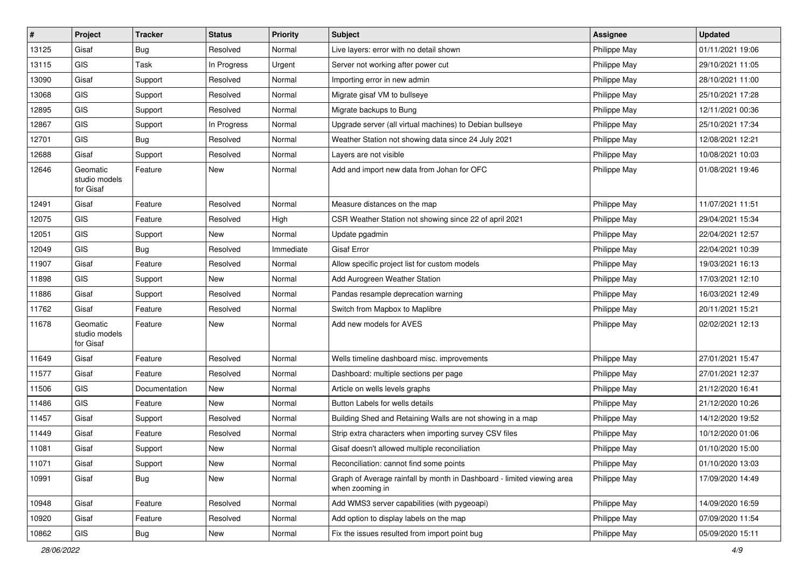| #     | Project                                | <b>Tracker</b> | <b>Status</b> | <b>Priority</b> | Subject                                                                                   | <b>Assignee</b> | <b>Updated</b>   |
|-------|----------------------------------------|----------------|---------------|-----------------|-------------------------------------------------------------------------------------------|-----------------|------------------|
| 13125 | Gisaf                                  | <b>Bug</b>     | Resolved      | Normal          | Live layers: error with no detail shown                                                   | Philippe May    | 01/11/2021 19:06 |
| 13115 | <b>GIS</b>                             | <b>Task</b>    | In Progress   | Urgent          | Server not working after power cut                                                        | Philippe May    | 29/10/2021 11:05 |
| 13090 | Gisaf                                  | Support        | Resolved      | Normal          | Importing error in new admin                                                              | Philippe May    | 28/10/2021 11:00 |
| 13068 | GIS                                    | Support        | Resolved      | Normal          | Migrate gisaf VM to bullseye                                                              | Philippe May    | 25/10/2021 17:28 |
| 12895 | GIS                                    | Support        | Resolved      | Normal          | Migrate backups to Bung                                                                   | Philippe May    | 12/11/2021 00:36 |
| 12867 | <b>GIS</b>                             | Support        | In Progress   | Normal          | Upgrade server (all virtual machines) to Debian bullseye                                  | Philippe May    | 25/10/2021 17:34 |
| 12701 | GIS                                    | Bug            | Resolved      | Normal          | Weather Station not showing data since 24 July 2021                                       | Philippe May    | 12/08/2021 12:21 |
| 12688 | Gisaf                                  | Support        | Resolved      | Normal          | Layers are not visible                                                                    | Philippe May    | 10/08/2021 10:03 |
| 12646 | Geomatic<br>studio models<br>for Gisaf | Feature        | <b>New</b>    | Normal          | Add and import new data from Johan for OFC                                                | Philippe May    | 01/08/2021 19:46 |
| 12491 | Gisaf                                  | Feature        | Resolved      | Normal          | Measure distances on the map                                                              | Philippe May    | 11/07/2021 11:51 |
| 12075 | GIS                                    | Feature        | Resolved      | High            | CSR Weather Station not showing since 22 of april 2021                                    | Philippe May    | 29/04/2021 15:34 |
| 12051 | <b>GIS</b>                             | Support        | New           | Normal          | Update pgadmin                                                                            | Philippe May    | 22/04/2021 12:57 |
| 12049 | GIS                                    | Bug            | Resolved      | Immediate       | <b>Gisaf Error</b>                                                                        | Philippe May    | 22/04/2021 10:39 |
| 11907 | Gisaf                                  | Feature        | Resolved      | Normal          | Allow specific project list for custom models                                             | Philippe May    | 19/03/2021 16:13 |
| 11898 | GIS                                    | Support        | New           | Normal          | Add Aurogreen Weather Station                                                             | Philippe May    | 17/03/2021 12:10 |
| 11886 | Gisaf                                  | Support        | Resolved      | Normal          | Pandas resample deprecation warning                                                       | Philippe May    | 16/03/2021 12:49 |
| 11762 | Gisaf                                  | Feature        | Resolved      | Normal          | Switch from Mapbox to Maplibre                                                            | Philippe May    | 20/11/2021 15:21 |
| 11678 | Geomatic<br>studio models<br>for Gisaf | Feature        | New           | Normal          | Add new models for AVES                                                                   | Philippe May    | 02/02/2021 12:13 |
| 11649 | Gisaf                                  | Feature        | Resolved      | Normal          | Wells timeline dashboard misc. improvements                                               | Philippe May    | 27/01/2021 15:47 |
| 11577 | Gisaf                                  | Feature        | Resolved      | Normal          | Dashboard: multiple sections per page                                                     | Philippe May    | 27/01/2021 12:37 |
| 11506 | GIS                                    | Documentation  | <b>New</b>    | Normal          | Article on wells levels graphs                                                            | Philippe May    | 21/12/2020 16:41 |
| 11486 | GIS                                    | Feature        | New           | Normal          | Button Labels for wells details                                                           | Philippe May    | 21/12/2020 10:26 |
| 11457 | Gisaf                                  | Support        | Resolved      | Normal          | Building Shed and Retaining Walls are not showing in a map                                | Philippe May    | 14/12/2020 19:52 |
| 11449 | Gisaf                                  | Feature        | Resolved      | Normal          | Strip extra characters when importing survey CSV files                                    | Philippe May    | 10/12/2020 01:06 |
| 11081 | Gisaf                                  | Support        | <b>New</b>    | Normal          | Gisaf doesn't allowed multiple reconciliation                                             | Philippe May    | 01/10/2020 15:00 |
| 11071 | Gisaf                                  | Support        | New           | Normal          | Reconciliation: cannot find some points                                                   | Philippe May    | 01/10/2020 13:03 |
| 10991 | Gisaf                                  | <b>Bug</b>     | New           | Normal          | Graph of Average rainfall by month in Dashboard - limited viewing area<br>when zooming in | Philippe May    | 17/09/2020 14:49 |
| 10948 | Gisaf                                  | Feature        | Resolved      | Normal          | Add WMS3 server capabilities (with pygeoapi)                                              | Philippe May    | 14/09/2020 16:59 |
| 10920 | Gisaf                                  | Feature        | Resolved      | Normal          | Add option to display labels on the map                                                   | Philippe May    | 07/09/2020 11:54 |
| 10862 | GIS                                    | <b>Bug</b>     | New           | Normal          | Fix the issues resulted from import point bug                                             | Philippe May    | 05/09/2020 15:11 |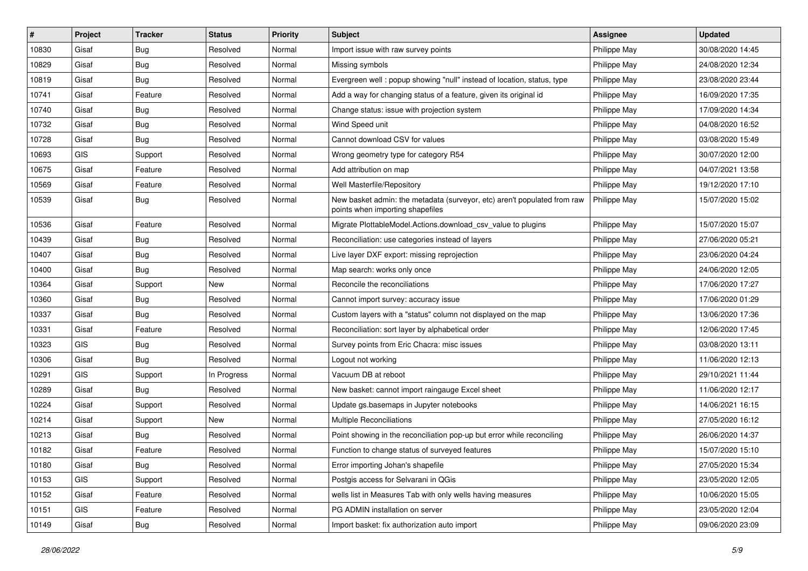| #     | Project    | <b>Tracker</b> | <b>Status</b> | <b>Priority</b> | <b>Subject</b>                                                                                               | <b>Assignee</b> | <b>Updated</b>   |
|-------|------------|----------------|---------------|-----------------|--------------------------------------------------------------------------------------------------------------|-----------------|------------------|
| 10830 | Gisaf      | Bug            | Resolved      | Normal          | Import issue with raw survey points                                                                          | Philippe May    | 30/08/2020 14:45 |
| 10829 | Gisaf      | <b>Bug</b>     | Resolved      | Normal          | Missing symbols                                                                                              | Philippe May    | 24/08/2020 12:34 |
| 10819 | Gisaf      | Bug            | Resolved      | Normal          | Evergreen well: popup showing "null" instead of location, status, type                                       | Philippe May    | 23/08/2020 23:44 |
| 10741 | Gisaf      | Feature        | Resolved      | Normal          | Add a way for changing status of a feature, given its original id                                            | Philippe May    | 16/09/2020 17:35 |
| 10740 | Gisaf      | <b>Bug</b>     | Resolved      | Normal          | Change status: issue with projection system                                                                  | Philippe May    | 17/09/2020 14:34 |
| 10732 | Gisaf      | Bug            | Resolved      | Normal          | Wind Speed unit                                                                                              | Philippe May    | 04/08/2020 16:52 |
| 10728 | Gisaf      | Bug            | Resolved      | Normal          | Cannot download CSV for values                                                                               | Philippe May    | 03/08/2020 15:49 |
| 10693 | GIS        | Support        | Resolved      | Normal          | Wrong geometry type for category R54                                                                         | Philippe May    | 30/07/2020 12:00 |
| 10675 | Gisaf      | Feature        | Resolved      | Normal          | Add attribution on map                                                                                       | Philippe May    | 04/07/2021 13:58 |
| 10569 | Gisaf      | Feature        | Resolved      | Normal          | Well Masterfile/Repository                                                                                   | Philippe May    | 19/12/2020 17:10 |
| 10539 | Gisaf      | <b>Bug</b>     | Resolved      | Normal          | New basket admin: the metadata (surveyor, etc) aren't populated from raw<br>points when importing shapefiles | Philippe May    | 15/07/2020 15:02 |
| 10536 | Gisaf      | Feature        | Resolved      | Normal          | Migrate PlottableModel.Actions.download_csv_value to plugins                                                 | Philippe May    | 15/07/2020 15:07 |
| 10439 | Gisaf      | Bug            | Resolved      | Normal          | Reconciliation: use categories instead of layers                                                             | Philippe May    | 27/06/2020 05:21 |
| 10407 | Gisaf      | Bug            | Resolved      | Normal          | Live layer DXF export: missing reprojection                                                                  | Philippe May    | 23/06/2020 04:24 |
| 10400 | Gisaf      | Bug            | Resolved      | Normal          | Map search: works only once                                                                                  | Philippe May    | 24/06/2020 12:05 |
| 10364 | Gisaf      | Support        | New           | Normal          | Reconcile the reconciliations                                                                                | Philippe May    | 17/06/2020 17:27 |
| 10360 | Gisaf      | Bug            | Resolved      | Normal          | Cannot import survey: accuracy issue                                                                         | Philippe May    | 17/06/2020 01:29 |
| 10337 | Gisaf      | Bug            | Resolved      | Normal          | Custom layers with a "status" column not displayed on the map                                                | Philippe May    | 13/06/2020 17:36 |
| 10331 | Gisaf      | Feature        | Resolved      | Normal          | Reconciliation: sort layer by alphabetical order                                                             | Philippe May    | 12/06/2020 17:45 |
| 10323 | <b>GIS</b> | Bug            | Resolved      | Normal          | Survey points from Eric Chacra: misc issues                                                                  | Philippe May    | 03/08/2020 13:11 |
| 10306 | Gisaf      | Bug            | Resolved      | Normal          | Logout not working                                                                                           | Philippe May    | 11/06/2020 12:13 |
| 10291 | <b>GIS</b> | Support        | In Progress   | Normal          | Vacuum DB at reboot                                                                                          | Philippe May    | 29/10/2021 11:44 |
| 10289 | Gisaf      | <b>Bug</b>     | Resolved      | Normal          | New basket: cannot import raingauge Excel sheet                                                              | Philippe May    | 11/06/2020 12:17 |
| 10224 | Gisaf      | Support        | Resolved      | Normal          | Update gs.basemaps in Jupyter notebooks                                                                      | Philippe May    | 14/06/2021 16:15 |
| 10214 | Gisaf      | Support        | New           | Normal          | <b>Multiple Reconciliations</b>                                                                              | Philippe May    | 27/05/2020 16:12 |
| 10213 | Gisaf      | Bug            | Resolved      | Normal          | Point showing in the reconciliation pop-up but error while reconciling                                       | Philippe May    | 26/06/2020 14:37 |
| 10182 | Gisaf      | Feature        | Resolved      | Normal          | Function to change status of surveyed features                                                               | Philippe May    | 15/07/2020 15:10 |
| 10180 | Gisaf      | <b>Bug</b>     | Resolved      | Normal          | Error importing Johan's shapefile                                                                            | Philippe May    | 27/05/2020 15:34 |
| 10153 | GIS        | Support        | Resolved      | Normal          | Postgis access for Selvarani in QGis                                                                         | Philippe May    | 23/05/2020 12:05 |
| 10152 | Gisaf      | Feature        | Resolved      | Normal          | wells list in Measures Tab with only wells having measures                                                   | Philippe May    | 10/06/2020 15:05 |
| 10151 | GIS        | Feature        | Resolved      | Normal          | PG ADMIN installation on server                                                                              | Philippe May    | 23/05/2020 12:04 |
| 10149 | Gisaf      | <b>Bug</b>     | Resolved      | Normal          | Import basket: fix authorization auto import                                                                 | Philippe May    | 09/06/2020 23:09 |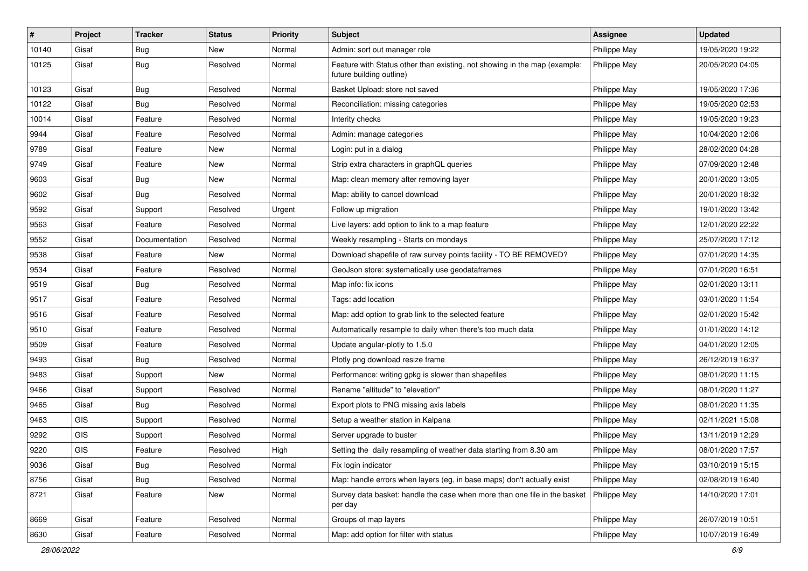| #     | Project    | <b>Tracker</b> | <b>Status</b> | <b>Priority</b> | Subject                                                                                               | Assignee     | <b>Updated</b>   |
|-------|------------|----------------|---------------|-----------------|-------------------------------------------------------------------------------------------------------|--------------|------------------|
| 10140 | Gisaf      | <b>Bug</b>     | <b>New</b>    | Normal          | Admin: sort out manager role                                                                          | Philippe May | 19/05/2020 19:22 |
| 10125 | Gisaf      | <b>Bug</b>     | Resolved      | Normal          | Feature with Status other than existing, not showing in the map (example:<br>future building outline) | Philippe May | 20/05/2020 04:05 |
| 10123 | Gisaf      | <b>Bug</b>     | Resolved      | Normal          | Basket Upload: store not saved                                                                        | Philippe May | 19/05/2020 17:36 |
| 10122 | Gisaf      | Bug            | Resolved      | Normal          | Reconciliation: missing categories                                                                    | Philippe May | 19/05/2020 02:53 |
| 10014 | Gisaf      | Feature        | Resolved      | Normal          | Interity checks                                                                                       | Philippe May | 19/05/2020 19:23 |
| 9944  | Gisaf      | Feature        | Resolved      | Normal          | Admin: manage categories                                                                              | Philippe May | 10/04/2020 12:06 |
| 9789  | Gisaf      | Feature        | New           | Normal          | Login: put in a dialog                                                                                | Philippe May | 28/02/2020 04:28 |
| 9749  | Gisaf      | Feature        | New           | Normal          | Strip extra characters in graphQL queries                                                             | Philippe May | 07/09/2020 12:48 |
| 9603  | Gisaf      | Bug            | New           | Normal          | Map: clean memory after removing layer                                                                | Philippe May | 20/01/2020 13:05 |
| 9602  | Gisaf      | <b>Bug</b>     | Resolved      | Normal          | Map: ability to cancel download                                                                       | Philippe May | 20/01/2020 18:32 |
| 9592  | Gisaf      | Support        | Resolved      | Urgent          | Follow up migration                                                                                   | Philippe May | 19/01/2020 13:42 |
| 9563  | Gisaf      | Feature        | Resolved      | Normal          | Live layers: add option to link to a map feature                                                      | Philippe May | 12/01/2020 22:22 |
| 9552  | Gisaf      | Documentation  | Resolved      | Normal          | Weekly resampling - Starts on mondays                                                                 | Philippe May | 25/07/2020 17:12 |
| 9538  | Gisaf      | Feature        | New           | Normal          | Download shapefile of raw survey points facility - TO BE REMOVED?                                     | Philippe May | 07/01/2020 14:35 |
| 9534  | Gisaf      | Feature        | Resolved      | Normal          | GeoJson store: systematically use geodataframes                                                       | Philippe May | 07/01/2020 16:51 |
| 9519  | Gisaf      | <b>Bug</b>     | Resolved      | Normal          | Map info: fix icons                                                                                   | Philippe May | 02/01/2020 13:11 |
| 9517  | Gisaf      | Feature        | Resolved      | Normal          | Tags: add location                                                                                    | Philippe May | 03/01/2020 11:54 |
| 9516  | Gisaf      | Feature        | Resolved      | Normal          | Map: add option to grab link to the selected feature                                                  | Philippe May | 02/01/2020 15:42 |
| 9510  | Gisaf      | Feature        | Resolved      | Normal          | Automatically resample to daily when there's too much data                                            | Philippe May | 01/01/2020 14:12 |
| 9509  | Gisaf      | Feature        | Resolved      | Normal          | Update angular-plotly to 1.5.0                                                                        | Philippe May | 04/01/2020 12:05 |
| 9493  | Gisaf      | <b>Bug</b>     | Resolved      | Normal          | Plotly png download resize frame                                                                      | Philippe May | 26/12/2019 16:37 |
| 9483  | Gisaf      | Support        | New           | Normal          | Performance: writing gpkg is slower than shapefiles                                                   | Philippe May | 08/01/2020 11:15 |
| 9466  | Gisaf      | Support        | Resolved      | Normal          | Rename "altitude" to "elevation"                                                                      | Philippe May | 08/01/2020 11:27 |
| 9465  | Gisaf      | Bug            | Resolved      | Normal          | Export plots to PNG missing axis labels                                                               | Philippe May | 08/01/2020 11:35 |
| 9463  | <b>GIS</b> | Support        | Resolved      | Normal          | Setup a weather station in Kalpana                                                                    | Philippe May | 02/11/2021 15:08 |
| 9292  | GIS        | Support        | Resolved      | Normal          | Server upgrade to buster                                                                              | Philippe May | 13/11/2019 12:29 |
| 9220  | GIS        | Feature        | Resolved      | High            | Setting the daily resampling of weather data starting from 8.30 am                                    | Philippe May | 08/01/2020 17:57 |
| 9036  | Gisaf      | Bug            | Resolved      | Normal          | Fix login indicator                                                                                   | Philippe May | 03/10/2019 15:15 |
| 8756  | Gisaf      | <b>Bug</b>     | Resolved      | Normal          | Map: handle errors when layers (eg, in base maps) don't actually exist                                | Philippe May | 02/08/2019 16:40 |
| 8721  | Gisaf      | Feature        | New           | Normal          | Survey data basket: handle the case when more than one file in the basket<br>per day                  | Philippe May | 14/10/2020 17:01 |
| 8669  | Gisaf      | Feature        | Resolved      | Normal          | Groups of map layers                                                                                  | Philippe May | 26/07/2019 10:51 |
| 8630  | Gisaf      | Feature        | Resolved      | Normal          | Map: add option for filter with status                                                                | Philippe May | 10/07/2019 16:49 |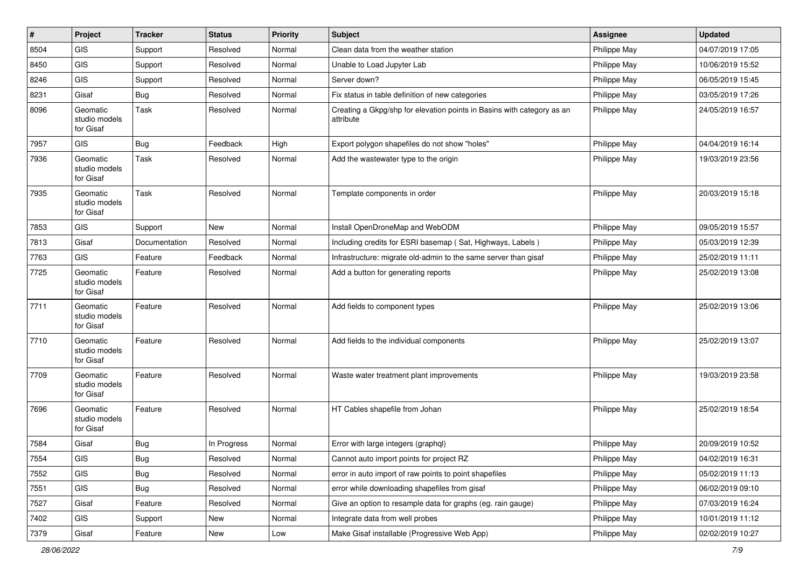| $\vert$ # | Project                                | <b>Tracker</b> | <b>Status</b> | <b>Priority</b> | <b>Subject</b>                                                                      | <b>Assignee</b> | <b>Updated</b>   |
|-----------|----------------------------------------|----------------|---------------|-----------------|-------------------------------------------------------------------------------------|-----------------|------------------|
| 8504      | <b>GIS</b>                             | Support        | Resolved      | Normal          | Clean data from the weather station                                                 | Philippe May    | 04/07/2019 17:05 |
| 8450      | GIS                                    | Support        | Resolved      | Normal          | Unable to Load Jupyter Lab                                                          | Philippe May    | 10/06/2019 15:52 |
| 8246      | <b>GIS</b>                             | Support        | Resolved      | Normal          | Server down?                                                                        | Philippe May    | 06/05/2019 15:45 |
| 8231      | Gisaf                                  | <b>Bug</b>     | Resolved      | Normal          | Fix status in table definition of new categories                                    | Philippe May    | 03/05/2019 17:26 |
| 8096      | Geomatic<br>studio models<br>for Gisaf | Task           | Resolved      | Normal          | Creating a Gkpg/shp for elevation points in Basins with category as an<br>attribute | Philippe May    | 24/05/2019 16:57 |
| 7957      | <b>GIS</b>                             | Bug            | Feedback      | High            | Export polygon shapefiles do not show "holes"                                       | Philippe May    | 04/04/2019 16:14 |
| 7936      | Geomatic<br>studio models<br>for Gisaf | Task           | Resolved      | Normal          | Add the wastewater type to the origin                                               | Philippe May    | 19/03/2019 23:56 |
| 7935      | Geomatic<br>studio models<br>for Gisaf | Task           | Resolved      | Normal          | Template components in order                                                        | Philippe May    | 20/03/2019 15:18 |
| 7853      | GIS                                    | Support        | <b>New</b>    | Normal          | Install OpenDroneMap and WebODM                                                     | Philippe May    | 09/05/2019 15:57 |
| 7813      | Gisaf                                  | Documentation  | Resolved      | Normal          | Including credits for ESRI basemap (Sat, Highways, Labels)                          | Philippe May    | 05/03/2019 12:39 |
| 7763      | <b>GIS</b>                             | Feature        | Feedback      | Normal          | Infrastructure: migrate old-admin to the same server than gisaf                     | Philippe May    | 25/02/2019 11:11 |
| 7725      | Geomatic<br>studio models<br>for Gisaf | Feature        | Resolved      | Normal          | Add a button for generating reports                                                 | Philippe May    | 25/02/2019 13:08 |
| 7711      | Geomatic<br>studio models<br>for Gisaf | Feature        | Resolved      | Normal          | Add fields to component types                                                       | Philippe May    | 25/02/2019 13:06 |
| 7710      | Geomatic<br>studio models<br>for Gisaf | Feature        | Resolved      | Normal          | Add fields to the individual components                                             | Philippe May    | 25/02/2019 13:07 |
| 7709      | Geomatic<br>studio models<br>for Gisaf | Feature        | Resolved      | Normal          | Waste water treatment plant improvements                                            | Philippe May    | 19/03/2019 23:58 |
| 7696      | Geomatic<br>studio models<br>for Gisaf | Feature        | Resolved      | Normal          | HT Cables shapefile from Johan                                                      | Philippe May    | 25/02/2019 18:54 |
| 7584      | Gisaf                                  | <b>Bug</b>     | In Progress   | Normal          | Error with large integers (graphql)                                                 | Philippe May    | 20/09/2019 10:52 |
| 7554      | <b>GIS</b>                             | Bug            | Resolved      | Normal          | Cannot auto import points for project RZ                                            | Philippe May    | 04/02/2019 16:31 |
| 7552      | GIS                                    | Bug            | Resolved      | Normal          | error in auto import of raw points to point shapefiles                              | Philippe May    | 05/02/2019 11:13 |
| 7551      | <b>GIS</b>                             | Bug            | Resolved      | Normal          | error while downloading shapefiles from gisaf                                       | Philippe May    | 06/02/2019 09:10 |
| 7527      | Gisaf                                  | Feature        | Resolved      | Normal          | Give an option to resample data for graphs (eg. rain gauge)                         | Philippe May    | 07/03/2019 16:24 |
| 7402      | GIS                                    | Support        | New           | Normal          | Integrate data from well probes                                                     | Philippe May    | 10/01/2019 11:12 |
| 7379      | Gisaf                                  | Feature        | New           | Low             | Make Gisaf installable (Progressive Web App)                                        | Philippe May    | 02/02/2019 10:27 |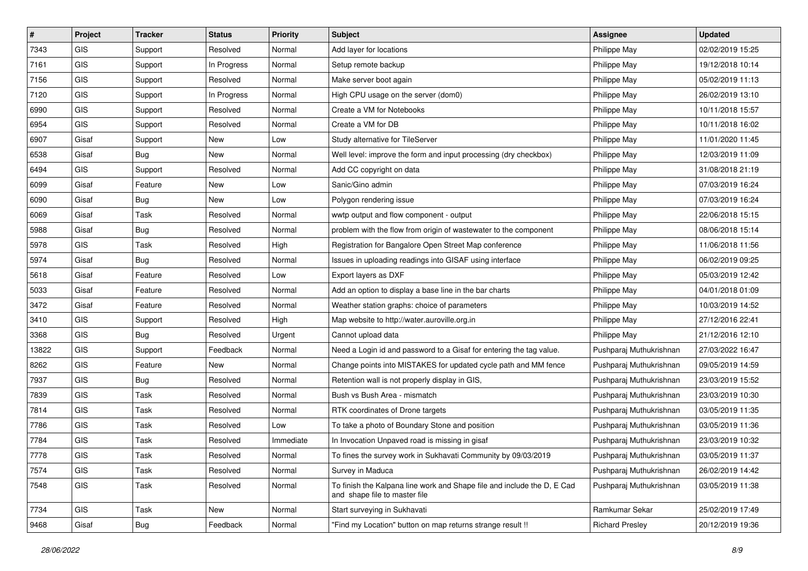| $\#$  | Project    | <b>Tracker</b> | <b>Status</b> | <b>Priority</b> | <b>Subject</b>                                                                                           | <b>Assignee</b>         | <b>Updated</b>   |
|-------|------------|----------------|---------------|-----------------|----------------------------------------------------------------------------------------------------------|-------------------------|------------------|
| 7343  | <b>GIS</b> | Support        | Resolved      | Normal          | Add layer for locations                                                                                  | Philippe May            | 02/02/2019 15:25 |
| 7161  | GIS        | Support        | In Progress   | Normal          | Setup remote backup                                                                                      | Philippe May            | 19/12/2018 10:14 |
| 7156  | GIS        | Support        | Resolved      | Normal          | Make server boot again                                                                                   | Philippe May            | 05/02/2019 11:13 |
| 7120  | GIS        | Support        | In Progress   | Normal          | High CPU usage on the server (dom0)                                                                      | Philippe May            | 26/02/2019 13:10 |
| 6990  | <b>GIS</b> | Support        | Resolved      | Normal          | Create a VM for Notebooks                                                                                | Philippe May            | 10/11/2018 15:57 |
| 6954  | <b>GIS</b> | Support        | Resolved      | Normal          | Create a VM for DB                                                                                       | Philippe May            | 10/11/2018 16:02 |
| 6907  | Gisaf      | Support        | New           | Low             | Study alternative for TileServer                                                                         | Philippe May            | 11/01/2020 11:45 |
| 6538  | Gisaf      | Bug            | New           | Normal          | Well level: improve the form and input processing (dry checkbox)                                         | Philippe May            | 12/03/2019 11:09 |
| 6494  | GIS        | Support        | Resolved      | Normal          | Add CC copyright on data                                                                                 | Philippe May            | 31/08/2018 21:19 |
| 6099  | Gisaf      | Feature        | New           | Low             | Sanic/Gino admin                                                                                         | Philippe May            | 07/03/2019 16:24 |
| 6090  | Gisaf      | Bug            | New           | Low             | Polygon rendering issue                                                                                  | Philippe May            | 07/03/2019 16:24 |
| 6069  | Gisaf      | Task           | Resolved      | Normal          | wwtp output and flow component - output                                                                  | Philippe May            | 22/06/2018 15:15 |
| 5988  | Gisaf      | <b>Bug</b>     | Resolved      | Normal          | problem with the flow from origin of wastewater to the component                                         | Philippe May            | 08/06/2018 15:14 |
| 5978  | GIS        | Task           | Resolved      | High            | Registration for Bangalore Open Street Map conference                                                    | Philippe May            | 11/06/2018 11:56 |
| 5974  | Gisaf      | <b>Bug</b>     | Resolved      | Normal          | Issues in uploading readings into GISAF using interface                                                  | Philippe May            | 06/02/2019 09:25 |
| 5618  | Gisaf      | Feature        | Resolved      | Low             | Export layers as DXF                                                                                     | Philippe May            | 05/03/2019 12:42 |
| 5033  | Gisaf      | Feature        | Resolved      | Normal          | Add an option to display a base line in the bar charts                                                   | Philippe May            | 04/01/2018 01:09 |
| 3472  | Gisaf      | Feature        | Resolved      | Normal          | Weather station graphs: choice of parameters                                                             | Philippe May            | 10/03/2019 14:52 |
| 3410  | <b>GIS</b> | Support        | Resolved      | High            | Map website to http://water.auroville.org.in                                                             | Philippe May            | 27/12/2016 22:41 |
| 3368  | GIS        | <b>Bug</b>     | Resolved      | Urgent          | Cannot upload data                                                                                       | Philippe May            | 21/12/2016 12:10 |
| 13822 | <b>GIS</b> | Support        | Feedback      | Normal          | Need a Login id and password to a Gisaf for entering the tag value.                                      | Pushparaj Muthukrishnan | 27/03/2022 16:47 |
| 8262  | GIS        | Feature        | New           | Normal          | Change points into MISTAKES for updated cycle path and MM fence                                          | Pushparaj Muthukrishnan | 09/05/2019 14:59 |
| 7937  | <b>GIS</b> | Bug            | Resolved      | Normal          | Retention wall is not properly display in GIS,                                                           | Pushparaj Muthukrishnan | 23/03/2019 15:52 |
| 7839  | <b>GIS</b> | Task           | Resolved      | Normal          | Bush vs Bush Area - mismatch                                                                             | Pushparaj Muthukrishnan | 23/03/2019 10:30 |
| 7814  | GIS        | Task           | Resolved      | Normal          | RTK coordinates of Drone targets                                                                         | Pushparaj Muthukrishnan | 03/05/2019 11:35 |
| 7786  | <b>GIS</b> | Task           | Resolved      | Low             | To take a photo of Boundary Stone and position                                                           | Pushparaj Muthukrishnan | 03/05/2019 11:36 |
| 7784  | GIS        | Task           | Resolved      | Immediate       | In Invocation Unpaved road is missing in gisaf                                                           | Pushparaj Muthukrishnan | 23/03/2019 10:32 |
| 7778  | GIS        | Task           | Resolved      | Normal          | To fines the survey work in Sukhavati Community by 09/03/2019                                            | Pushparaj Muthukrishnan | 03/05/2019 11:37 |
| 7574  | GIS        | Task           | Resolved      | Normal          | Survey in Maduca                                                                                         | Pushparaj Muthukrishnan | 26/02/2019 14:42 |
| 7548  | GIS        | Task           | Resolved      | Normal          | To finish the Kalpana line work and Shape file and include the D, E Cad<br>and shape file to master file | Pushparaj Muthukrishnan | 03/05/2019 11:38 |
| 7734  | GIS        | Task           | New           | Normal          | Start surveying in Sukhavati                                                                             | Ramkumar Sekar          | 25/02/2019 17:49 |
| 9468  | Gisaf      | <b>Bug</b>     | Feedback      | Normal          | "Find my Location" button on map returns strange result !!                                               | <b>Richard Presley</b>  | 20/12/2019 19:36 |